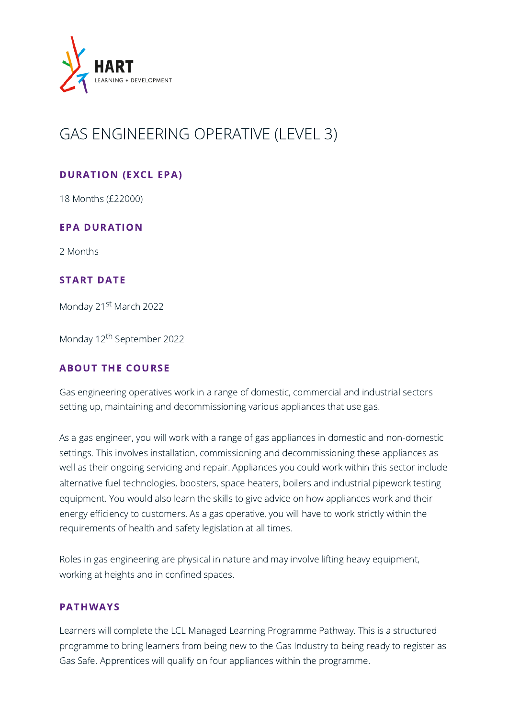

# GAS ENGINEERING OPERATIVE (LEVEL 3)

# DURATION (EXCL EPA)

18 Months (£22000)

# EPA DURATION

2 Months

## START DATE

Monday 21<sup>st</sup> March 2022

Monday 12 th September 2022

## ABOUT THE COURSE

Gas engineering operatives work in a range of domestic, commercial and industrial sectors setting up, maintaining and decommissioning various appliances that use gas.

As a gas engineer, you will work with a range of gas appliances in domestic and non-domestic settings. This involves installation, commissioning and decommissioning these appliances as well as their ongoing servicing and repair. Appliances you could work within this sector include alternative fuel technologies, boosters, space heaters, boilers and industrial pipework testing equipment. You would also learn the skills to give advice on how appliances work and their energy efficiency to customers. As a gas operative, you will have to work strictly within the requirements of health and safety legislation at all times.

Roles in gas engineering are physical in nature and may involve lifting heavy equipment, working at heights and in confined spaces.

#### PATHWAYS

Learners will complete the LCL Managed Learning Programme Pathway. This is a structured programme to bring learners from being new to the Gas Industry to being ready to register as Gas Safe. Apprentices will qualify on four appliances within the programme.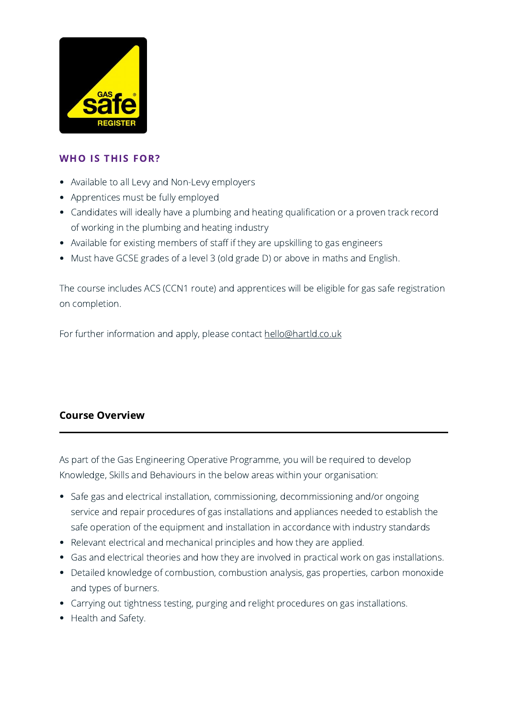

## WHO IS THIS FOR?

- Available to all Levy and Non-Levy employers
- Apprentices must be fully employed
- Candidates will ideally have a plumbing and heating qualification or a proven track record of working in the plumbing and heating industry
- Available for existing members of staff if they are upskilling to gas engineers
- Must have GCSE grades of a level 3 (old grade D) or above in maths and English.

The course includes ACS (CCN1 route) and apprentices will be eligible for gas safe registration on completion.

For further information and apply, please contact [hello@hartld.co.uk](mailto:hello@hartld.co.uk)

# Course Overview

As part of the Gas Engineering Operative Programme, you will be required to develop Knowledge, Skills and Behaviours in the below areas within your organisation:

- Safe gas and electrical installation, commissioning, decommissioning and/or ongoing service and repair procedures of gas installations and appliances needed to establish the safe operation of the equipment and installation in accordance with industry standards
- Relevant electrical and mechanical principles and how they are applied.
- Gas and electrical theories and how they are involved in practical work on gas installations.
- Detailed knowledge of combustion, combustion analysis, gas properties, carbon monoxide and types of burners.
- Carrying out tightness testing, purging and relight procedures on gas installations.
- Health and Safety.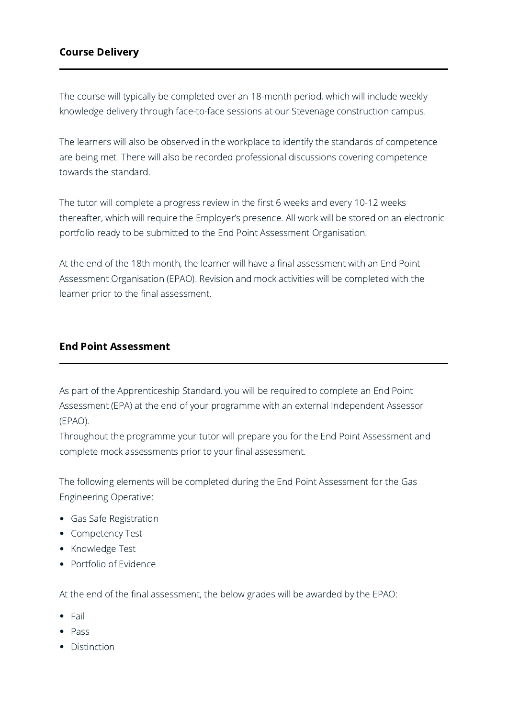# Course Delivery

The course will typically be completed over an 18-month period, which will include weekly knowledge delivery through face-to-face sessions at our Stevenage construction campus.

The learners will also be observed in the workplace to identify the standards of competence are being met. There will also be recorded professional discussions covering competence towards the standard.

The tutor will complete a progress review in the first 6 weeks and every 10-12 weeks thereafter, which will require the Employer's presence. All work will be stored on an electronic portfolio ready to be submitted to the End Point Assessment Organisation.

At the end of the 18th month, the learner will have a final assessment with an End Point Assessment Organisation (EPAO). Revision and mock activities will be completed with the learner prior to the final assessment.

#### End Point Assessment

As part of the Apprenticeship Standard, you will be required to complete an End Point Assessment (EPA) at the end of your programme with an external Independent Assessor (EPAO).

Throughout the programme your tutor will prepare you for the End Point Assessment and complete mock assessments prior to your final assessment.

The following elements will be completed during the End Point Assessment for the Gas Engineering Operative:

- Gas Safe Registration
- Competency Test
- Knowledge Test
- Portfolio of Evidence

At the end of the final assessment, the below grades will be awarded by the EPAO:

- Fail
- Pass
- Distinction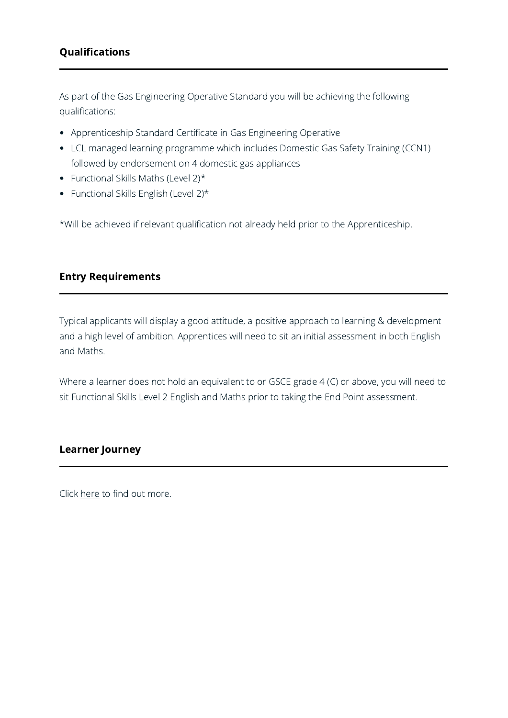# Qualifications

As part of the Gas Engineering Operative Standard you will be achieving the following qualifications:

- Apprenticeship Standard Certificate in Gas Engineering Operative
- LCL managed learning programme which includes Domestic Gas Safety Training (CCN1) followed by endorsement on 4 domestic gas appliances
- Functional Skills Maths (Level  $2$ )\*
- Functional Skills English (Level  $2$ )\*

\*Will be achieved if relevant qualification not already held prior to the Apprenticeship.

# Entry Requirements

Typical applicants will display a good attitude, a positive approach to learning & development and a high level of ambition. Apprentices will need to sit an initial assessment in both English and Maths.

Where a learner does not hold an equivalent to or GSCE grade 4 (C) or above, you will need to sit Functional Skills Level 2 English and Maths prior to taking the End Point assessment.

## Learner Journey

Click [here](http://www.hartld.co.uk/wp-content/uploads/2022/02/Gas-Operative-Learner-Journey.pdf) to find out more.